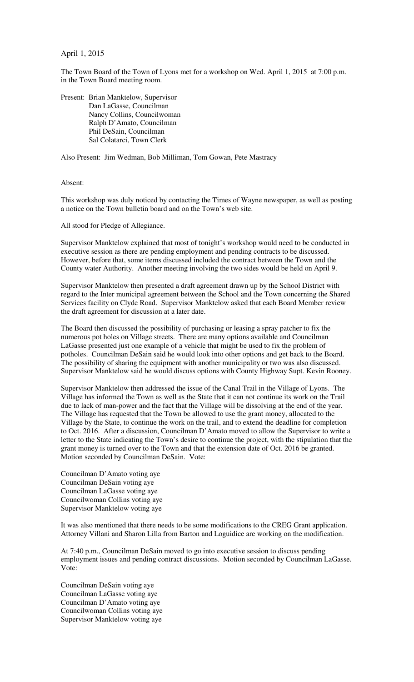April 1, 2015

The Town Board of the Town of Lyons met for a workshop on Wed. April 1, 2015 at 7:00 p.m. in the Town Board meeting room.

Present: Brian Manktelow, Supervisor Dan LaGasse, Councilman Nancy Collins, Councilwoman Ralph D'Amato, Councilman Phil DeSain, Councilman Sal Colatarci, Town Clerk

Also Present: Jim Wedman, Bob Milliman, Tom Gowan, Pete Mastracy

Absent:

This workshop was duly noticed by contacting the Times of Wayne newspaper, as well as posting a notice on the Town bulletin board and on the Town's web site.

All stood for Pledge of Allegiance.

Supervisor Manktelow explained that most of tonight's workshop would need to be conducted in executive session as there are pending employment and pending contracts to be discussed. However, before that, some items discussed included the contract between the Town and the County water Authority. Another meeting involving the two sides would be held on April 9.

Supervisor Manktelow then presented a draft agreement drawn up by the School District with regard to the Inter municipal agreement between the School and the Town concerning the Shared Services facility on Clyde Road. Supervisor Manktelow asked that each Board Member review the draft agreement for discussion at a later date.

The Board then discussed the possibility of purchasing or leasing a spray patcher to fix the numerous pot holes on Village streets. There are many options available and Councilman LaGasse presented just one example of a vehicle that might be used to fix the problem of potholes. Councilman DeSain said he would look into other options and get back to the Board. The possibility of sharing the equipment with another municipality or two was also discussed. Supervisor Manktelow said he would discuss options with County Highway Supt. Kevin Rooney.

Supervisor Manktelow then addressed the issue of the Canal Trail in the Village of Lyons. The Village has informed the Town as well as the State that it can not continue its work on the Trail due to lack of man-power and the fact that the Village will be dissolving at the end of the year. The Village has requested that the Town be allowed to use the grant money, allocated to the Village by the State, to continue the work on the trail, and to extend the deadline for completion to Oct. 2016. After a discussion, Councilman D'Amato moved to allow the Supervisor to write a letter to the State indicating the Town's desire to continue the project, with the stipulation that the grant money is turned over to the Town and that the extension date of Oct. 2016 be granted. Motion seconded by Councilman DeSain. Vote:

Councilman D'Amato voting aye Councilman DeSain voting aye Councilman LaGasse voting aye Councilwoman Collins voting aye Supervisor Manktelow voting aye

It was also mentioned that there needs to be some modifications to the CREG Grant application. Attorney Villani and Sharon Lilla from Barton and Loguidice are working on the modification.

At 7:40 p.m., Councilman DeSain moved to go into executive session to discuss pending employment issues and pending contract discussions. Motion seconded by Councilman LaGasse. Vote:

Councilman DeSain voting aye Councilman LaGasse voting aye Councilman D'Amato voting aye Councilwoman Collins voting aye Supervisor Manktelow voting aye